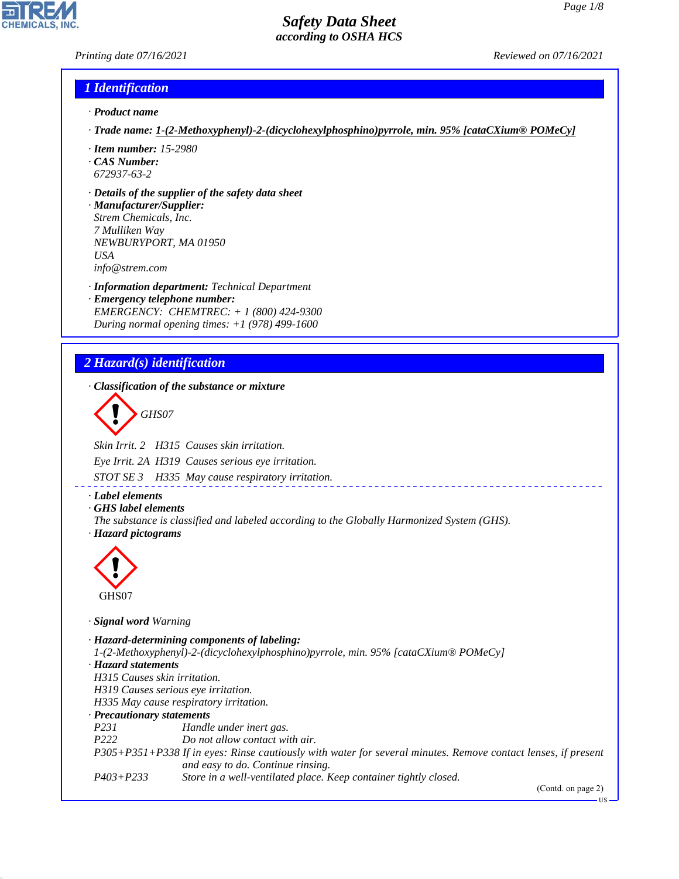#### *Printing date 07/16/2021 Reviewed on 07/16/2021*

#### *1 Identification*

- *· Product name*
- *· Trade name: 1-(2-Methoxyphenyl)-2-(dicyclohexylphosphino)pyrrole, min. 95% [cataCXium® POMeCy]*
- *· Item number: 15-2980*
- *· CAS Number: 672937-63-2*
- *· Details of the supplier of the safety data sheet*

*· Manufacturer/Supplier: Strem Chemicals, Inc. 7 Mulliken Way NEWBURYPORT, MA 01950 USA info@strem.com*

*· Information department: Technical Department · Emergency telephone number: EMERGENCY: CHEMTREC: + 1 (800) 424-9300 During normal opening times: +1 (978) 499-1600*

# *2 Hazard(s) identification*

*· Classification of the substance or mixture*

d~*GHS07*

*Skin Irrit. 2 H315 Causes skin irritation.*

*Eye Irrit. 2A H319 Causes serious eye irritation.*

*STOT SE 3 H335 May cause respiratory irritation.*

*· Label elements*

*· GHS label elements*

*The substance is classified and labeled according to the Globally Harmonized System (GHS). · Hazard pictograms*



44.1.1

*· Signal word Warning*

*· Hazard-determining components of labeling: 1-(2-Methoxyphenyl)-2-(dicyclohexylphosphino)pyrrole, min. 95% [cataCXium® POMeCy] · Hazard statements H315 Causes skin irritation. H319 Causes serious eye irritation. H335 May cause respiratory irritation. · Precautionary statements P231 Handle under inert gas. P222 Do not allow contact with air. P305+P351+P338 If in eyes: Rinse cautiously with water for several minutes. Remove contact lenses, if present and easy to do. Continue rinsing. P403+P233 Store in a well-ventilated place. Keep container tightly closed.*

(Contd. on page 2)

US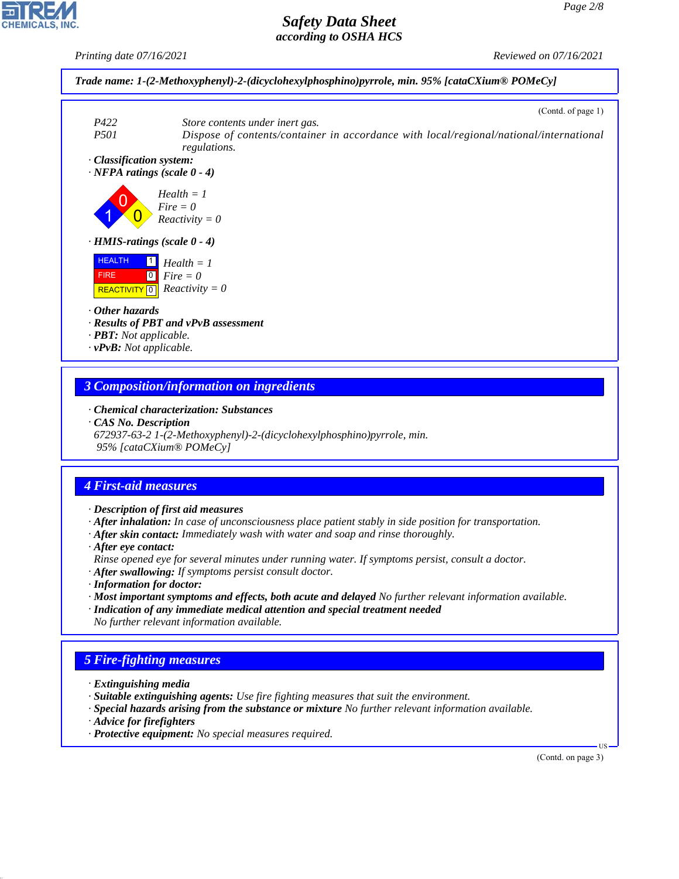*Printing date 07/16/2021 Reviewed on 07/16/2021*



#### *3 Composition/information on ingredients*

*· Chemical characterization: Substances*

*· CAS No. Description*

*672937-63-2 1-(2-Methoxyphenyl)-2-(dicyclohexylphosphino)pyrrole, min. 95% [cataCXium® POMeCy]*

## *4 First-aid measures*

*· Description of first aid measures*

*· After inhalation: In case of unconsciousness place patient stably in side position for transportation.*

- *· After skin contact: Immediately wash with water and soap and rinse thoroughly.*
- *· After eye contact:*

*Rinse opened eye for several minutes under running water. If symptoms persist, consult a doctor.*

- *· After swallowing: If symptoms persist consult doctor.*
- *· Information for doctor:*
- *· Most important symptoms and effects, both acute and delayed No further relevant information available.*
- *· Indication of any immediate medical attention and special treatment needed No further relevant information available.*

# *5 Fire-fighting measures*

- *· Extinguishing media*
- *· Suitable extinguishing agents: Use fire fighting measures that suit the environment.*
- *· Special hazards arising from the substance or mixture No further relevant information available.*
- *· Advice for firefighters*

44.1.1

*· Protective equipment: No special measures required.*

(Contd. on page 3)

US

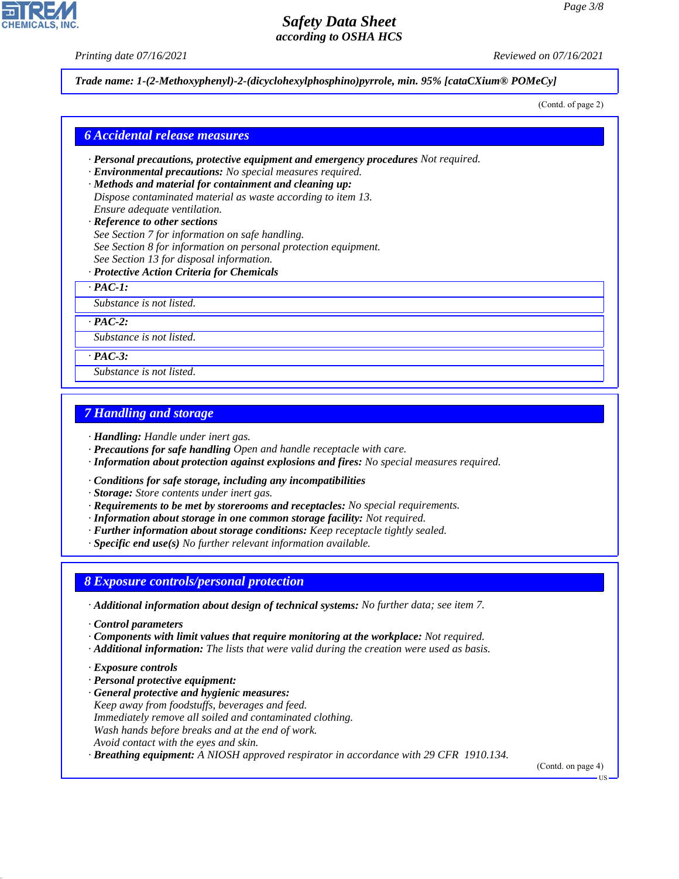*Printing date 07/16/2021 Reviewed on 07/16/2021*

*Trade name: 1-(2-Methoxyphenyl)-2-(dicyclohexylphosphino)pyrrole, min. 95% [cataCXium® POMeCy]*

(Contd. of page 2)

#### *6 Accidental release measures*

- *· Personal precautions, protective equipment and emergency procedures Not required.*
- *· Environmental precautions: No special measures required.*
- *· Methods and material for containment and cleaning up: Dispose contaminated material as waste according to item 13. Ensure adequate ventilation.*
- *· Reference to other sections See Section 7 for information on safe handling. See Section 8 for information on personal protection equipment. See Section 13 for disposal information.*
- *· Protective Action Criteria for Chemicals*

*· PAC-1:*

*Substance is not listed.*

*· PAC-2:*

*Substance is not listed.*

*· PAC-3:*

*Substance is not listed.*

### *7 Handling and storage*

*· Handling: Handle under inert gas.*

- *· Precautions for safe handling Open and handle receptacle with care.*
- *· Information about protection against explosions and fires: No special measures required.*
- *· Conditions for safe storage, including any incompatibilities*
- *· Storage: Store contents under inert gas.*
- *· Requirements to be met by storerooms and receptacles: No special requirements.*
- *· Information about storage in one common storage facility: Not required.*
- *· Further information about storage conditions: Keep receptacle tightly sealed.*
- *· Specific end use(s) No further relevant information available.*

#### *8 Exposure controls/personal protection*

- *· Additional information about design of technical systems: No further data; see item 7.*
- *· Control parameters*
- *· Components with limit values that require monitoring at the workplace: Not required.*
- *· Additional information: The lists that were valid during the creation were used as basis.*
- *· Exposure controls*

44.1.1

- *· Personal protective equipment:*
- *· General protective and hygienic measures: Keep away from foodstuffs, beverages and feed. Immediately remove all soiled and contaminated clothing. Wash hands before breaks and at the end of work. Avoid contact with the eyes and skin.*

*· Breathing equipment: A NIOSH approved respirator in accordance with 29 CFR 1910.134.*

(Contd. on page 4)

US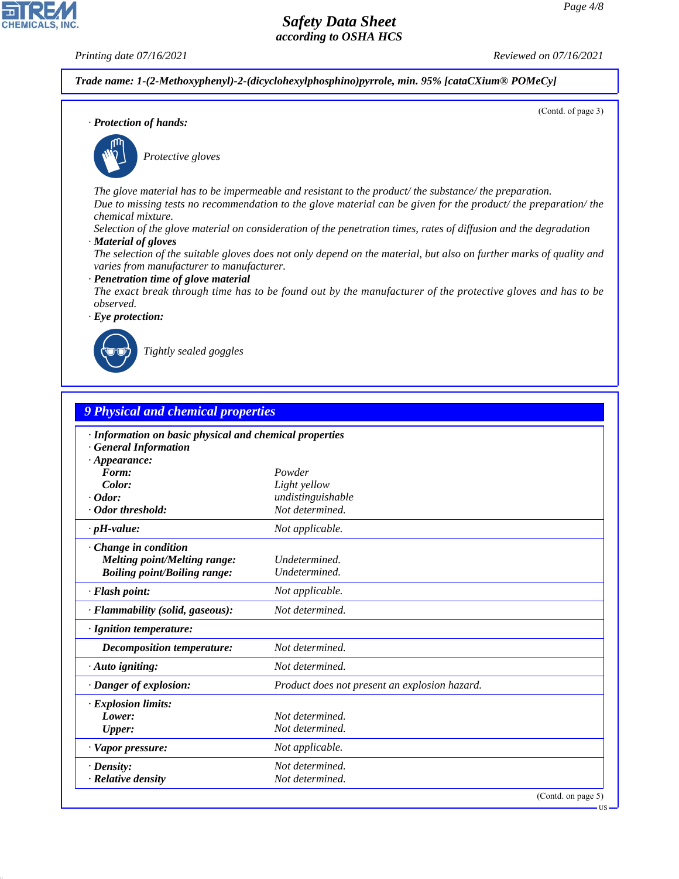(Contd. of page 3)

# *Safety Data Sheet according to OSHA HCS*

**CHEMICALS, INC** 

*Printing date 07/16/2021 Reviewed on 07/16/2021*

*Trade name: 1-(2-Methoxyphenyl)-2-(dicyclohexylphosphino)pyrrole, min. 95% [cataCXium® POMeCy]*

*· Protection of hands:*



\_S*Protective gloves*

*The glove material has to be impermeable and resistant to the product/ the substance/ the preparation. Due to missing tests no recommendation to the glove material can be given for the product/ the preparation/ the chemical mixture.*

*Selection of the glove material on consideration of the penetration times, rates of diffusion and the degradation*

*· Material of gloves*

*The selection of the suitable gloves does not only depend on the material, but also on further marks of quality and varies from manufacturer to manufacturer.*

*· Penetration time of glove material*

*The exact break through time has to be found out by the manufacturer of the protective gloves and has to be observed.*

*· Eye protection:*



44.1.1

\_R*Tightly sealed goggles*

| <b>9 Physical and chemical properties</b>                                                                    |                                               |  |
|--------------------------------------------------------------------------------------------------------------|-----------------------------------------------|--|
| · Information on basic physical and chemical properties<br><b>General Information</b><br>$\cdot$ Appearance: |                                               |  |
| Form:                                                                                                        | Powder                                        |  |
| Color:                                                                                                       | Light yellow                                  |  |
| $\cdot$ Odor:                                                                                                | undistinguishable                             |  |
| · Odor threshold:                                                                                            | Not determined.                               |  |
| $\cdot$ pH-value:                                                                                            | Not applicable.                               |  |
| Change in condition<br>Melting point/Melting range:<br><b>Boiling point/Boiling range:</b>                   | Undetermined.<br>Undetermined.                |  |
| $\cdot$ Flash point:                                                                                         | Not applicable.                               |  |
| · Flammability (solid, gaseous):                                                                             | Not determined.                               |  |
| · Ignition temperature:                                                                                      |                                               |  |
| <b>Decomposition temperature:</b>                                                                            | Not determined.                               |  |
| $\cdot$ Auto igniting:                                                                                       | Not determined.                               |  |
| · Danger of explosion:                                                                                       | Product does not present an explosion hazard. |  |
| · Explosion limits:                                                                                          |                                               |  |
| Lower:                                                                                                       | Not determined.                               |  |
| <b>Upper:</b>                                                                                                | Not determined.                               |  |
| · Vapor pressure:                                                                                            | Not applicable.                               |  |
| $\cdot$ Density:                                                                                             | Not determined.                               |  |
| · Relative density                                                                                           | Not determined.                               |  |

**IIS**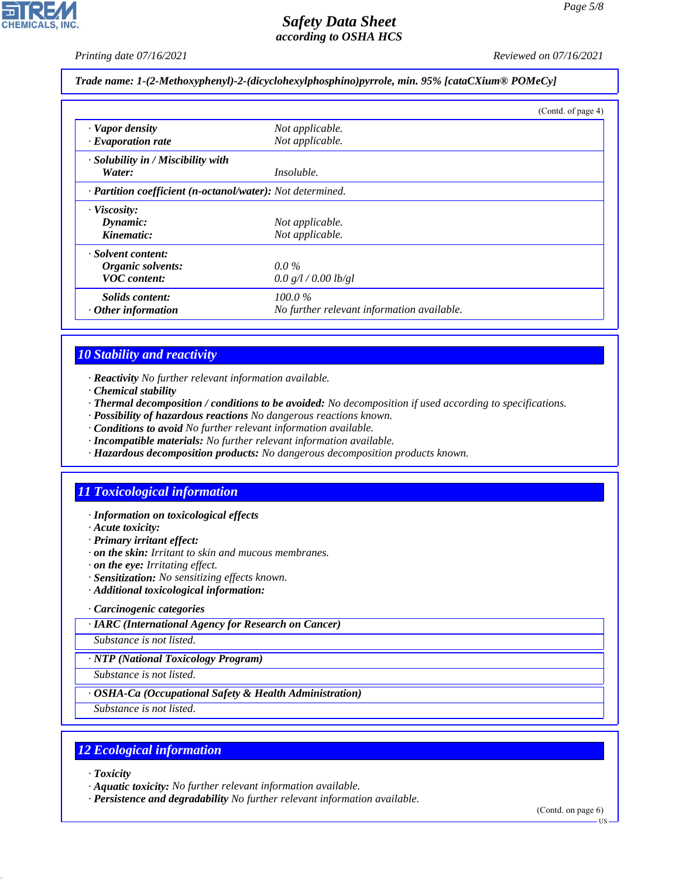*Printing date 07/16/2021 Reviewed on 07/16/2021*

#### *Trade name: 1-(2-Methoxyphenyl)-2-(dicyclohexylphosphino)pyrrole, min. 95% [cataCXium® POMeCy]*

|                                                            |                                            | (Contd. of page 4) |
|------------------------------------------------------------|--------------------------------------------|--------------------|
| · Vapor density                                            | Not applicable.                            |                    |
| $\cdot$ Evaporation rate                                   | Not applicable.                            |                    |
| · Solubility in / Miscibility with                         |                                            |                    |
| Water:                                                     | Insoluble.                                 |                    |
| · Partition coefficient (n-octanol/water): Not determined. |                                            |                    |
| $\cdot$ Viscosity:                                         |                                            |                    |
| Dynamic:                                                   | Not applicable.                            |                    |
| Kinematic:                                                 | Not applicable.                            |                    |
| · Solvent content:                                         |                                            |                    |
| Organic solvents:                                          | $0.0\%$                                    |                    |
| <b>VOC</b> content:                                        | 0.0 g/l / 0.00 lb/gl                       |                    |
| Solids content:                                            | $100.0\%$                                  |                    |
| $\cdot$ Other information                                  | No further relevant information available. |                    |

## *10 Stability and reactivity*

- *· Reactivity No further relevant information available.*
- *· Chemical stability*
- *· Thermal decomposition / conditions to be avoided: No decomposition if used according to specifications.*
- *· Possibility of hazardous reactions No dangerous reactions known.*
- *· Conditions to avoid No further relevant information available.*
- *· Incompatible materials: No further relevant information available.*
- *· Hazardous decomposition products: No dangerous decomposition products known.*

## *11 Toxicological information*

- *· Information on toxicological effects*
- *· Acute toxicity:*
- *· Primary irritant effect:*
- *· on the skin: Irritant to skin and mucous membranes.*
- *· on the eye: Irritating effect.*
- *· Sensitization: No sensitizing effects known.*
- *· Additional toxicological information:*

#### *· Carcinogenic categories*

*· IARC (International Agency for Research on Cancer)*

*Substance is not listed.*

#### *· NTP (National Toxicology Program)*

*Substance is not listed.*

#### *· OSHA-Ca (Occupational Safety & Health Administration)*

*Substance is not listed.*

### *12 Ecological information*

*· Toxicity*

44.1.1

*· Aquatic toxicity: No further relevant information available.*

*· Persistence and degradability No further relevant information available.*

(Contd. on page 6) US

*Page 5/8*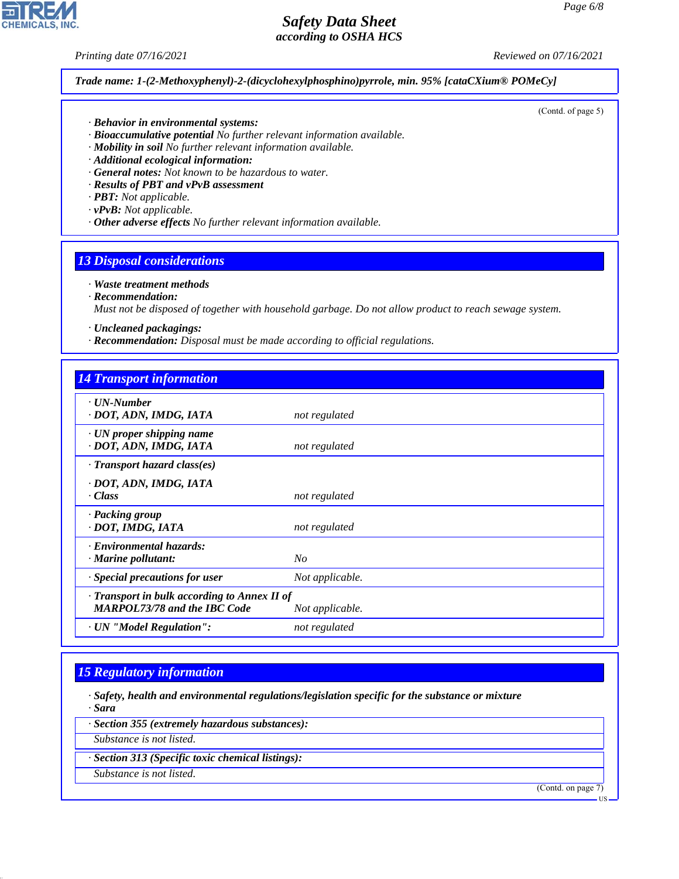**CHEMICALS, INC** 

*Printing date 07/16/2021 Reviewed on 07/16/2021*

(Contd. of page 5)

*Trade name: 1-(2-Methoxyphenyl)-2-(dicyclohexylphosphino)pyrrole, min. 95% [cataCXium® POMeCy]*

- *· Behavior in environmental systems:*
- *· Bioaccumulative potential No further relevant information available.*
- *· Mobility in soil No further relevant information available.*
- *· Additional ecological information:*
- *· General notes: Not known to be hazardous to water.*
- *· Results of PBT and vPvB assessment*
- *· PBT: Not applicable.*
- *· vPvB: Not applicable.*
- *· Other adverse effects No further relevant information available.*

### *13 Disposal considerations*

#### *· Waste treatment methods*

*· Recommendation:*

*Must not be disposed of together with household garbage. Do not allow product to reach sewage system.*

- *· Uncleaned packagings:*
- *· Recommendation: Disposal must be made according to official regulations.*

| <b>14 Transport information</b>                                                     |                 |
|-------------------------------------------------------------------------------------|-----------------|
| · UN-Number<br>· DOT, ADN, IMDG, IATA                                               | not regulated   |
| $\cdot$ UN proper shipping name<br>· DOT, ADN, IMDG, IATA                           | not regulated   |
| $\cdot$ Transport hazard class(es)                                                  |                 |
| · DOT, ADN, IMDG, IATA<br>· Class                                                   | not regulated   |
| · Packing group<br>· DOT, IMDG, IATA                                                | not regulated   |
| · Environmental hazards:<br>$\cdot$ Marine pollutant:                               | $N_{O}$         |
| · Special precautions for user                                                      | Not applicable. |
| · Transport in bulk according to Annex II of<br><b>MARPOL73/78 and the IBC Code</b> | Not applicable. |
| · UN "Model Regulation":                                                            | not regulated   |

## *15 Regulatory information*

- *· Safety, health and environmental regulations/legislation specific for the substance or mixture · Sara*
- *· Section 355 (extremely hazardous substances):*
- *Substance is not listed.*
- *· Section 313 (Specific toxic chemical listings):*
- *Substance is not listed.*

44.1.1

(Contd. on page 7)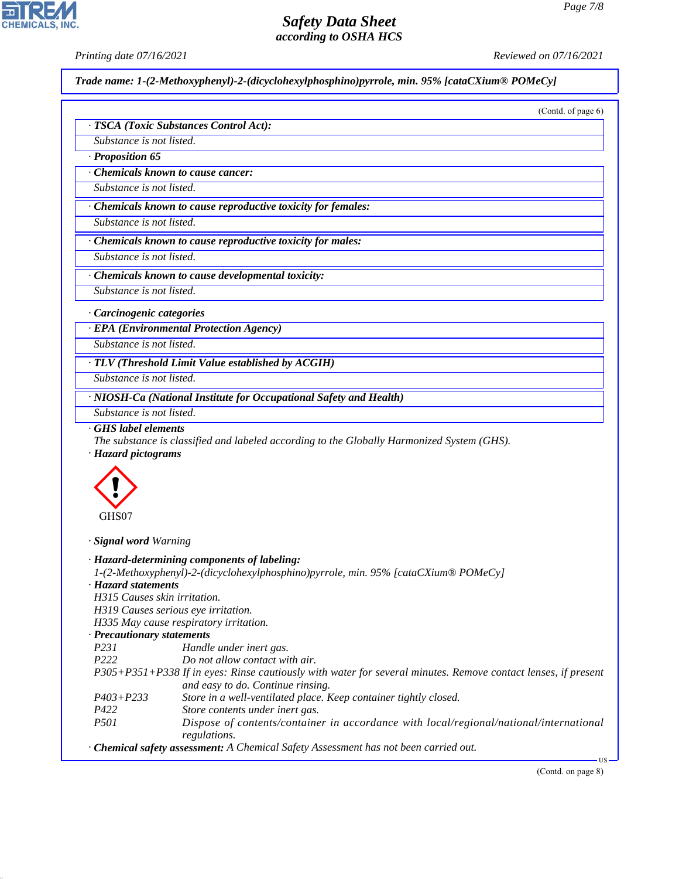*Printing date 07/16/2021 Reviewed on 07/16/2021*

*Trade name: 1-(2-Methoxyphenyl)-2-(dicyclohexylphosphino)pyrrole, min. 95% [cataCXium® POMeCy]*

|                                                                       | · TSCA (Toxic Substances Control Act):                                                                                                                                            |
|-----------------------------------------------------------------------|-----------------------------------------------------------------------------------------------------------------------------------------------------------------------------------|
| Substance is not listed.                                              |                                                                                                                                                                                   |
|                                                                       |                                                                                                                                                                                   |
| · Proposition 65                                                      |                                                                                                                                                                                   |
|                                                                       | Chemicals known to cause cancer:                                                                                                                                                  |
| Substance is not listed.                                              |                                                                                                                                                                                   |
|                                                                       | · Chemicals known to cause reproductive toxicity for females:                                                                                                                     |
| Substance is not listed.                                              |                                                                                                                                                                                   |
|                                                                       | Chemicals known to cause reproductive toxicity for males:                                                                                                                         |
| Substance is not listed.                                              |                                                                                                                                                                                   |
|                                                                       | Chemicals known to cause developmental toxicity:                                                                                                                                  |
| Substance is not listed.                                              |                                                                                                                                                                                   |
|                                                                       |                                                                                                                                                                                   |
| · Carcinogenic categories                                             |                                                                                                                                                                                   |
|                                                                       | · EPA (Environmental Protection Agency)                                                                                                                                           |
| Substance is not listed.                                              |                                                                                                                                                                                   |
|                                                                       | $\cdot$ TLV (Threshold Limit Value established by ACGIH)                                                                                                                          |
| Substance is not listed.                                              |                                                                                                                                                                                   |
|                                                                       | · NIOSH-Ca (National Institute for Occupational Safety and Health)                                                                                                                |
|                                                                       |                                                                                                                                                                                   |
| Substance is not listed.<br>GHS label elements<br>· Hazard pictograms | The substance is classified and labeled according to the Globally Harmonized System (GHS).                                                                                        |
|                                                                       |                                                                                                                                                                                   |
| GHS07                                                                 |                                                                                                                                                                                   |
| · Signal word Warning                                                 |                                                                                                                                                                                   |
|                                                                       | · Hazard-determining components of labeling:                                                                                                                                      |
|                                                                       | 1-(2-Methoxyphenyl)-2-(dicyclohexylphosphino)pyrrole, min. 95% [cataCXium® POMeCy]                                                                                                |
| H315 Causes skin irritation.                                          |                                                                                                                                                                                   |
|                                                                       | H319 Causes serious eye irritation.                                                                                                                                               |
|                                                                       | H335 May cause respiratory irritation.                                                                                                                                            |
| · Precautionary statements                                            |                                                                                                                                                                                   |
| <i>P231</i>                                                           | Handle under inert gas.                                                                                                                                                           |
| P222                                                                  | Do not allow contact with air.                                                                                                                                                    |
|                                                                       | and easy to do. Continue rinsing.                                                                                                                                                 |
| · Hazard statements<br>$P403 + P233$                                  | P305+P351+P338 If in eyes: Rinse cautiously with water for several minutes. Remove contact lenses, if present<br>Store in a well-ventilated place. Keep container tightly closed. |
| P422                                                                  | Store contents under inert gas.                                                                                                                                                   |
| P501                                                                  | Dispose of contents/container in accordance with local/regional/national/international                                                                                            |
|                                                                       | regulations.<br>· Chemical safety assessment: A Chemical Safety Assessment has not been carried out.                                                                              |



44.1.1